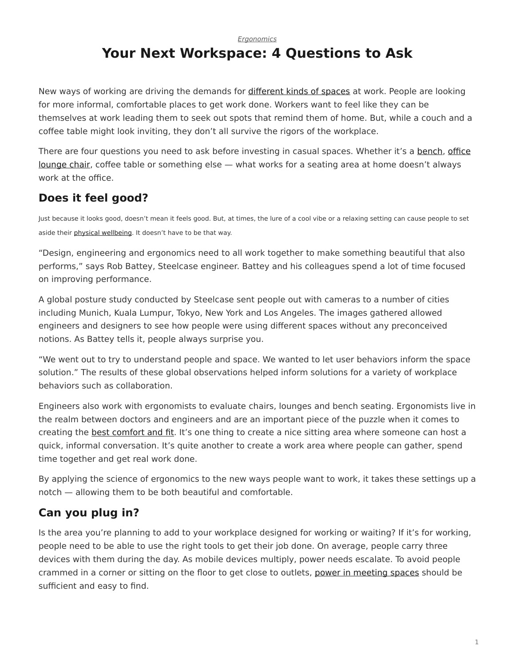*[Ergonomics](https://www.steelcase.com/research/topics/ergonomics/)*

## <span id="page-0-0"></span>**Your Next Workspace: 4 Questions to Ask**

New ways of working are driving the demands for [different kinds of spaces](https://www.steelcase.com/spaces-inspiration/inspiring-office-workspaces/) at work. People are looking for more informal, comfortable places to get work done. Workers want to feel like they can be themselves at work leading them to seek out spots that remind them of home. But, while a couch and a coffee table might look inviting, they don't all survive the rigors of the workplace.

There are four questions you need to ask before investing in casual spaces. Whether it's a [bench](https://www.steelcase.com/products/benches-ottomans/), [office](https://www.steelcase.com/products/lounge-chairs/) [lounge chair](https://www.steelcase.com/products/lounge-chairs/), coffee table or something else — what works for a seating area at home doesn't always work at the office.

### **Does it feel good?**

Just because it looks good, doesn't mean it feels good. But, at times, the lure of a cool vibe or a relaxing setting can cause people to set aside their [physical wellbeing.](https://www.steelcase.com/insights/360-magazine/wellbeing-a-bottom-line-issue/) It doesn't have to be that way.

"Design, engineering and ergonomics need to all work together to make something beautiful that also performs," says Rob Battey, Steelcase engineer. Battey and his colleagues spend a lot of time focused on improving performance.

A global posture study conducted by Steelcase sent people out with cameras to a number of cities including Munich, Kuala Lumpur, Tokyo, New York and Los Angeles. The images gathered allowed engineers and designers to see how people were using different spaces without any preconceived notions. As Battey tells it, people always surprise you.

"We went out to try to understand people and space. We wanted to let user behaviors inform the space solution." The results of these global observations helped inform solutions for a variety of workplace behaviors such as collaboration.

Engineers also work with ergonomists to evaluate chairs, lounges and bench seating. Ergonomists live in the realm between doctors and engineers and are an important piece of the puzzle when it comes to creating the [best comfort and fit.](https://www.steelcase.com/blog/sitting-isnt-issue-static/) It's one thing to create a nice sitting area where someone can host a quick, informal conversation. It's quite another to create a work area where people can gather, spend time together and get real work done.

By applying the science of ergonomics to the new ways people want to work, it takes these settings up a notch — allowing them to be both beautiful and comfortable.

#### **Can you plug in?**

Is the area you're planning to add to your workplace designed for working or waiting? If it's for working, people need to be able to use the right tools to get their job done. On average, people carry three devices with them during the day. As mobile devices multiply, power needs escalate. To avoid people crammed in a corner or sitting on the floor to get close to outlets, [power in meeting spaces](https://www.steelcase.com/research/articles/topics/technology/keeping-up-with-nec-changes-only-takes-a-thread/) should be sufficient and easy to find.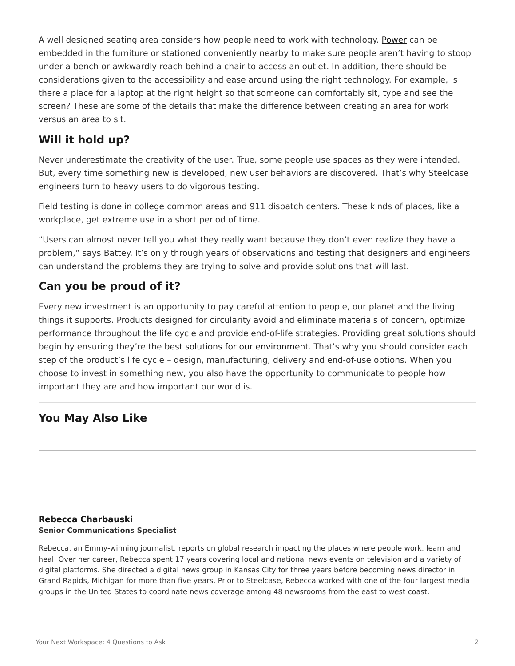A well designed seating area considers how people need to work with technology. [Power](https://www.steelcase.com/products/computer-support/thread/) can be embedded in the furniture or stationed conveniently nearby to make sure people aren't having to stoop under a bench or awkwardly reach behind a chair to access an outlet. In addition, there should be considerations given to the accessibility and ease around using the right technology. For example, is there a place for a laptop at the right height so that someone can comfortably sit, type and see the screen? These are some of the details that make the difference between creating an area for work versus an area to sit.

#### **Will it hold up?**

Never underestimate the creativity of the user. True, some people use spaces as they were intended. But, every time something new is developed, new user behaviors are discovered. That's why Steelcase engineers turn to heavy users to do vigorous testing.

Field testing is done in college common areas and 911 dispatch centers. These kinds of places, like a workplace, get extreme use in a short period of time.

"Users can almost never tell you what they really want because they don't even realize they have a problem," says Battey. It's only through years of observations and testing that designers and engineers can understand the problems they are trying to solve and provide solutions that will last.

#### **Can you be proud of it?**

Every new investment is an opportunity to pay careful attention to people, our planet and the living things it supports. Products designed for circularity avoid and eliminate materials of concern, optimize performance throughout the life cycle and provide end-of-life strategies. Providing great solutions should begin by ensuring they're the [best solutions for our environment.](https://www.steelcase.com/discover/steelcase/sustainability/) That's why you should consider each step of the product's life cycle – design, manufacturing, delivery and end-of-use options. When you choose to invest in something new, you also have the opportunity to communicate to people how important they are and how important our world is.

#### **You May Also Like**

#### **[Rebecca Charbauski](https://www.steelcase.com/research/articles/author/rcharbausteelcase-com/) Senior Communications Specialist**

Rebecca, an Emmy-winning journalist, reports on global research impacting the places where people work, learn and heal. Over her career, Rebecca spent 17 years covering local and national news events on television and a variety of digital platforms. She directed a digital news group in Kansas City for three years before becoming news director in Grand Rapids, Michigan for more than five years. Prior to Steelcase, Rebecca worked with one of the four largest media groups in the United States to coordinate news coverage among 48 newsrooms from the east to west coast.